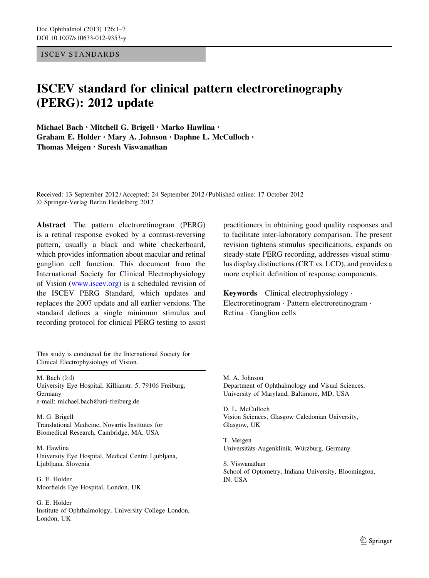ISCEV STANDARDS

# ISCEV standard for clinical pattern electroretinography (PERG): 2012 update

Michael Bach • Mitchell G. Brigell • Marko Hawlina • Graham E. Holder • Mary A. Johnson • Daphne L. McCulloch • Thomas Meigen • Suresh Viswanathan

Received: 13 September 2012 / Accepted: 24 September 2012 / Published online: 17 October 2012 - Springer-Verlag Berlin Heidelberg 2012

Abstract The pattern electroretinogram (PERG) is a retinal response evoked by a contrast-reversing pattern, usually a black and white checkerboard, which provides information about macular and retinal ganglion cell function. This document from the International Society for Clinical Electrophysiology of Vision [\(www.iscev.org\)](http://www.iscev.org) is a scheduled revision of the ISCEV PERG Standard, which updates and replaces the 2007 update and all earlier versions. The standard defines a single minimum stimulus and recording protocol for clinical PERG testing to assist practitioners in obtaining good quality responses and to facilitate inter-laboratory comparison. The present revision tightens stimulus specifications, expands on steady-state PERG recording, addresses visual stimulus display distinctions (CRT vs. LCD), and provides a more explicit definition of response components.

Keywords Clinical electrophysiology - Electroretinogram - Pattern electroretinogram - Retina - Ganglion cells

This study is conducted for the International Society for Clinical Electrophysiology of Vision.

M. Bach  $(\boxtimes)$ University Eye Hospital, Killianstr. 5, 79106 Freiburg, Germany e-mail: michael.bach@uni-freiburg.de

M. G. Brigell Translational Medicine, Novartis Institutes for Biomedical Research, Cambridge, MA, USA

M. Hawlina University Eye Hospital, Medical Centre Ljubljana, Ljubljana, Slovenia

G. E. Holder Moorfields Eye Hospital, London, UK

G. E. Holder Institute of Ophthalmology, University College London, London, UK

M. A. Johnson Department of Ophthalmology and Visual Sciences, University of Maryland, Baltimore, MD, USA

D. L. McCulloch Vision Sciences, Glasgow Caledonian University, Glasgow, UK

T. Meigen Universitäts-Augenklinik, Würzburg, Germany

S. Viswanathan School of Optometry, Indiana University, Bloomington, IN, USA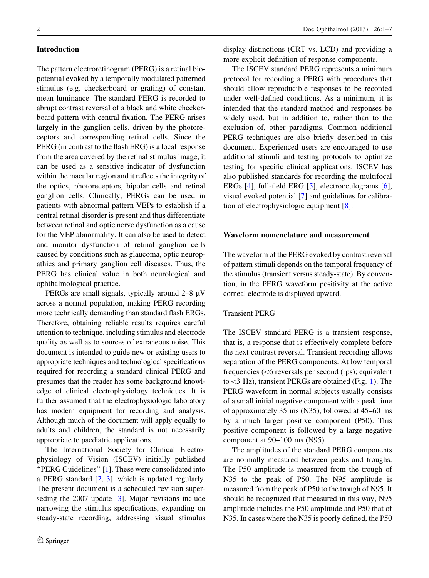# Introduction

The pattern electroretinogram (PERG) is a retinal biopotential evoked by a temporally modulated patterned stimulus (e.g. checkerboard or grating) of constant mean luminance. The standard PERG is recorded to abrupt contrast reversal of a black and white checkerboard pattern with central fixation. The PERG arises largely in the ganglion cells, driven by the photoreceptors and corresponding retinal cells. Since the PERG (in contrast to the flash ERG) is a local response from the area covered by the retinal stimulus image, it can be used as a sensitive indicator of dysfunction within the macular region and it reflects the integrity of the optics, photoreceptors, bipolar cells and retinal ganglion cells. Clinically, PERGs can be used in patients with abnormal pattern VEPs to establish if a central retinal disorder is present and thus differentiate between retinal and optic nerve dysfunction as a cause for the VEP abnormality. It can also be used to detect and monitor dysfunction of retinal ganglion cells caused by conditions such as glaucoma, optic neuropathies and primary ganglion cell diseases. Thus, the PERG has clinical value in both neurological and ophthalmological practice.

PERGs are small signals, typically around  $2-8 \mu V$ across a normal population, making PERG recording more technically demanding than standard flash ERGs. Therefore, obtaining reliable results requires careful attention to technique, including stimulus and electrode quality as well as to sources of extraneous noise. This document is intended to guide new or existing users to appropriate techniques and technological specifications required for recording a standard clinical PERG and presumes that the reader has some background knowledge of clinical electrophysiology techniques. It is further assumed that the electrophysiologic laboratory has modern equipment for recording and analysis. Although much of the document will apply equally to adults and children, the standard is not necessarily appropriate to paediatric applications.

The International Society for Clinical Electrophysiology of Vision (ISCEV) initially published ''PERG Guidelines'' [[1\]](#page-6-0). These were consolidated into a PERG standard  $[2, 3]$  $[2, 3]$  $[2, 3]$  $[2, 3]$ , which is updated regularly. The present document is a scheduled revision superseding the 2007 update [\[3](#page-6-0)]. Major revisions include narrowing the stimulus specifications, expanding on steady-state recording, addressing visual stimulus display distinctions (CRT vs. LCD) and providing a more explicit definition of response components.

The ISCEV standard PERG represents a minimum protocol for recording a PERG with procedures that should allow reproducible responses to be recorded under well-defined conditions. As a minimum, it is intended that the standard method and responses be widely used, but in addition to, rather than to the exclusion of, other paradigms. Common additional PERG techniques are also briefly described in this document. Experienced users are encouraged to use additional stimuli and testing protocols to optimize testing for specific clinical applications. ISCEV has also published standards for recording the multifocal ERGs [\[4](#page-6-0)], full-field ERG [[5\]](#page-6-0), electrooculograms [\[6](#page-6-0)], visual evoked potential [[7\]](#page-6-0) and guidelines for calibration of electrophysiologic equipment [[8\]](#page-6-0).

# Waveform nomenclature and measurement

The waveform of the PERG evoked by contrast reversal of pattern stimuli depends on the temporal frequency of the stimulus (transient versus steady-state). By convention, in the PERG waveform positivity at the active corneal electrode is displayed upward.

# Transient PERG

The ISCEV standard PERG is a transient response, that is, a response that is effectively complete before the next contrast reversal. Transient recording allows separation of the PERG components. At low temporal frequencies (\6 reversals per second (rps); equivalent to  $<$ 3 Hz), transient PERGs are obtained (Fig. [1\)](#page-2-0). The PERG waveform in normal subjects usually consists of a small initial negative component with a peak time of approximately 35 ms (N35), followed at 45–60 ms by a much larger positive component (P50). This positive component is followed by a large negative component at 90–100 ms (N95).

The amplitudes of the standard PERG components are normally measured between peaks and troughs. The P50 amplitude is measured from the trough of N35 to the peak of P50. The N95 amplitude is measured from the peak of P50 to the trough of N95. It should be recognized that measured in this way, N95 amplitude includes the P50 amplitude and P50 that of N35. In cases where the N35 is poorly defined, the P50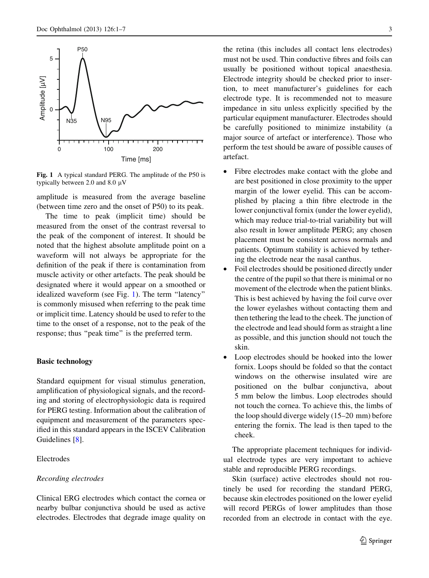<span id="page-2-0"></span>

Fig. 1 A typical standard PERG. The amplitude of the P50 is typically between 2.0 and 8.0  $\mu$ V

amplitude is measured from the average baseline (between time zero and the onset of P50) to its peak.

The time to peak (implicit time) should be measured from the onset of the contrast reversal to the peak of the component of interest. It should be noted that the highest absolute amplitude point on a waveform will not always be appropriate for the definition of the peak if there is contamination from muscle activity or other artefacts. The peak should be designated where it would appear on a smoothed or idealized waveform (see Fig. 1). The term ''latency'' is commonly misused when referring to the peak time or implicit time. Latency should be used to refer to the time to the onset of a response, not to the peak of the response; thus ''peak time'' is the preferred term.

#### Basic technology

Standard equipment for visual stimulus generation, amplification of physiological signals, and the recording and storing of electrophysiologic data is required for PERG testing. Information about the calibration of equipment and measurement of the parameters specified in this standard appears in the ISCEV Calibration Guidelines [\[8](#page-6-0)].

# Electrodes

# Recording electrodes

Clinical ERG electrodes which contact the cornea or nearby bulbar conjunctiva should be used as active electrodes. Electrodes that degrade image quality on the retina (this includes all contact lens electrodes) must not be used. Thin conductive fibres and foils can usually be positioned without topical anaesthesia. Electrode integrity should be checked prior to insertion, to meet manufacturer's guidelines for each electrode type. It is recommended not to measure impedance in situ unless explicitly specified by the particular equipment manufacturer. Electrodes should be carefully positioned to minimize instability (a major source of artefact or interference). Those who perform the test should be aware of possible causes of artefact.

- Fibre electrodes make contact with the globe and are best positioned in close proximity to the upper margin of the lower eyelid. This can be accomplished by placing a thin fibre electrode in the lower conjunctival fornix (under the lower eyelid), which may reduce trial-to-trial variability but will also result in lower amplitude PERG; any chosen placement must be consistent across normals and patients. Optimum stability is achieved by tethering the electrode near the nasal canthus.
- Foil electrodes should be positioned directly under the centre of the pupil so that there is minimal or no movement of the electrode when the patient blinks. This is best achieved by having the foil curve over the lower eyelashes without contacting them and then tethering the lead to the cheek. The junction of the electrode and lead should form as straight a line as possible, and this junction should not touch the skin.
- Loop electrodes should be hooked into the lower fornix. Loops should be folded so that the contact windows on the otherwise insulated wire are positioned on the bulbar conjunctiva, about 5 mm below the limbus. Loop electrodes should not touch the cornea. To achieve this, the limbs of the loop should diverge widely (15–20 mm) before entering the fornix. The lead is then taped to the cheek.

The appropriate placement techniques for individual electrode types are very important to achieve stable and reproducible PERG recordings.

Skin (surface) active electrodes should not routinely be used for recording the standard PERG, because skin electrodes positioned on the lower eyelid will record PERGs of lower amplitudes than those recorded from an electrode in contact with the eye.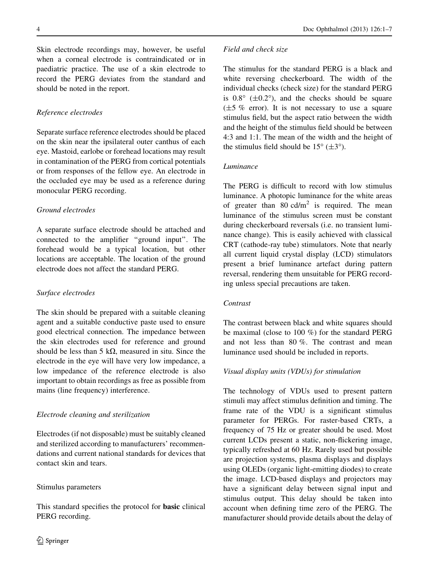Skin electrode recordings may, however, be useful when a corneal electrode is contraindicated or in paediatric practice. The use of a skin electrode to record the PERG deviates from the standard and should be noted in the report.

## Reference electrodes

Separate surface reference electrodes should be placed on the skin near the ipsilateral outer canthus of each eye. Mastoid, earlobe or forehead locations may result in contamination of the PERG from cortical potentials or from responses of the fellow eye. An electrode in the occluded eye may be used as a reference during monocular PERG recording.

# Ground electrodes

A separate surface electrode should be attached and connected to the amplifier ''ground input''. The forehead would be a typical location, but other locations are acceptable. The location of the ground electrode does not affect the standard PERG.

#### Surface electrodes

The skin should be prepared with a suitable cleaning agent and a suitable conductive paste used to ensure good electrical connection. The impedance between the skin electrodes used for reference and ground should be less than 5 k $\Omega$ , measured in situ. Since the electrode in the eye will have very low impedance, a low impedance of the reference electrode is also important to obtain recordings as free as possible from mains (line frequency) interference.

#### Electrode cleaning and sterilization

Electrodes (if not disposable) must be suitably cleaned and sterilized according to manufacturers' recommendations and current national standards for devices that contact skin and tears.

#### Stimulus parameters

This standard specifies the protocol for basic clinical PERG recording.

# Field and check size

The stimulus for the standard PERG is a black and white reversing checkerboard. The width of the individual checks (check size) for the standard PERG is  $0.8^{\circ}$  ( $\pm 0.2^{\circ}$ ), and the checks should be square  $(\pm 5 \%$  error). It is not necessary to use a square stimulus field, but the aspect ratio between the width and the height of the stimulus field should be between 4:3 and 1:1. The mean of the width and the height of the stimulus field should be  $15^{\circ}$  ( $\pm 3^{\circ}$ ).

# Luminance

The PERG is difficult to record with low stimulus luminance. A photopic luminance for the white areas of greater than 80  $cd/m^2$  is required. The mean luminance of the stimulus screen must be constant during checkerboard reversals (i.e. no transient luminance change). This is easily achieved with classical CRT (cathode-ray tube) stimulators. Note that nearly all current liquid crystal display (LCD) stimulators present a brief luminance artefact during pattern reversal, rendering them unsuitable for PERG recording unless special precautions are taken.

# Contrast

The contrast between black and white squares should be maximal (close to 100 %) for the standard PERG and not less than 80 %. The contrast and mean luminance used should be included in reports.

#### Visual display units (VDUs) for stimulation

The technology of VDUs used to present pattern stimuli may affect stimulus definition and timing. The frame rate of the VDU is a significant stimulus parameter for PERGs. For raster-based CRTs, a frequency of 75 Hz or greater should be used. Most current LCDs present a static, non-flickering image, typically refreshed at 60 Hz. Rarely used but possible are projection systems, plasma displays and displays using OLEDs (organic light-emitting diodes) to create the image. LCD-based displays and projectors may have a significant delay between signal input and stimulus output. This delay should be taken into account when defining time zero of the PERG. The manufacturer should provide details about the delay of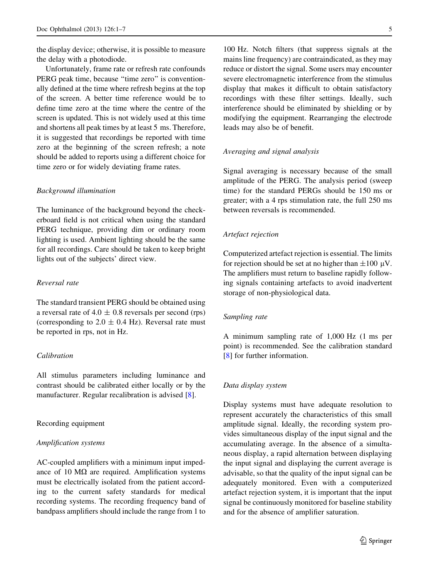the display device; otherwise, it is possible to measure the delay with a photodiode.

Unfortunately, frame rate or refresh rate confounds PERG peak time, because "time zero" is conventionally defined at the time where refresh begins at the top of the screen. A better time reference would be to define time zero at the time where the centre of the screen is updated. This is not widely used at this time and shortens all peak times by at least 5 ms. Therefore, it is suggested that recordings be reported with time zero at the beginning of the screen refresh; a note should be added to reports using a different choice for time zero or for widely deviating frame rates.

#### Background illumination

The luminance of the background beyond the checkerboard field is not critical when using the standard PERG technique, providing dim or ordinary room lighting is used. Ambient lighting should be the same for all recordings. Care should be taken to keep bright lights out of the subjects' direct view.

# Reversal rate

The standard transient PERG should be obtained using a reversal rate of  $4.0 \pm 0.8$  reversals per second (rps) (corresponding to  $2.0 \pm 0.4$  Hz). Reversal rate must be reported in rps, not in Hz.

# Calibration

All stimulus parameters including luminance and contrast should be calibrated either locally or by the manufacturer. Regular recalibration is advised [[8\]](#page-6-0).

## Recording equipment

#### Amplification systems

AC-coupled amplifiers with a minimum input impedance of 10  $M\Omega$  are required. Amplification systems must be electrically isolated from the patient according to the current safety standards for medical recording systems. The recording frequency band of bandpass amplifiers should include the range from 1 to

100 Hz. Notch filters (that suppress signals at the mains line frequency) are contraindicated, as they may reduce or distort the signal. Some users may encounter severe electromagnetic interference from the stimulus display that makes it difficult to obtain satisfactory recordings with these filter settings. Ideally, such interference should be eliminated by shielding or by modifying the equipment. Rearranging the electrode leads may also be of benefit.

## Averaging and signal analysis

Signal averaging is necessary because of the small amplitude of the PERG. The analysis period (sweep time) for the standard PERGs should be 150 ms or greater; with a 4 rps stimulation rate, the full 250 ms between reversals is recommended.

#### Artefact rejection

Computerized artefact rejection is essential. The limits for rejection should be set at no higher than  $\pm 100 \mu V$ . The amplifiers must return to baseline rapidly following signals containing artefacts to avoid inadvertent storage of non-physiological data.

#### Sampling rate

A minimum sampling rate of 1,000 Hz (1 ms per point) is recommended. See the calibration standard [\[8](#page-6-0)] for further information.

#### Data display system

Display systems must have adequate resolution to represent accurately the characteristics of this small amplitude signal. Ideally, the recording system provides simultaneous display of the input signal and the accumulating average. In the absence of a simultaneous display, a rapid alternation between displaying the input signal and displaying the current average is advisable, so that the quality of the input signal can be adequately monitored. Even with a computerized artefact rejection system, it is important that the input signal be continuously monitored for baseline stability and for the absence of amplifier saturation.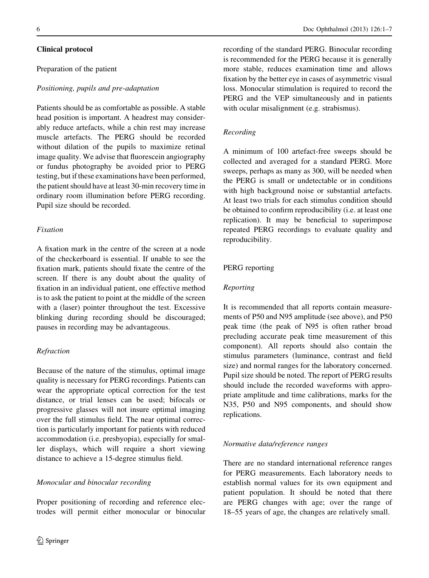# Clinical protocol

#### Preparation of the patient

# Positioning, pupils and pre-adaptation

Patients should be as comfortable as possible. A stable head position is important. A headrest may considerably reduce artefacts, while a chin rest may increase muscle artefacts. The PERG should be recorded without dilation of the pupils to maximize retinal image quality. We advise that fluorescein angiography or fundus photography be avoided prior to PERG testing, but if these examinations have been performed, the patient should have at least 30-min recovery time in ordinary room illumination before PERG recording. Pupil size should be recorded.

# Fixation

A fixation mark in the centre of the screen at a node of the checkerboard is essential. If unable to see the fixation mark, patients should fixate the centre of the screen. If there is any doubt about the quality of fixation in an individual patient, one effective method is to ask the patient to point at the middle of the screen with a (laser) pointer throughout the test. Excessive blinking during recording should be discouraged; pauses in recording may be advantageous.

## Refraction

Because of the nature of the stimulus, optimal image quality is necessary for PERG recordings. Patients can wear the appropriate optical correction for the test distance, or trial lenses can be used; bifocals or progressive glasses will not insure optimal imaging over the full stimulus field. The near optimal correction is particularly important for patients with reduced accommodation (i.e. presbyopia), especially for smaller displays, which will require a short viewing distance to achieve a 15-degree stimulus field.

# Monocular and binocular recording

Proper positioning of recording and reference electrodes will permit either monocular or binocular recording of the standard PERG. Binocular recording is recommended for the PERG because it is generally more stable, reduces examination time and allows fixation by the better eye in cases of asymmetric visual loss. Monocular stimulation is required to record the PERG and the VEP simultaneously and in patients with ocular misalignment (e.g. strabismus).

## Recording

A minimum of 100 artefact-free sweeps should be collected and averaged for a standard PERG. More sweeps, perhaps as many as 300, will be needed when the PERG is small or undetectable or in conditions with high background noise or substantial artefacts. At least two trials for each stimulus condition should be obtained to confirm reproducibility (i.e. at least one replication). It may be beneficial to superimpose repeated PERG recordings to evaluate quality and reproducibility.

# PERG reporting

#### Reporting

It is recommended that all reports contain measurements of P50 and N95 amplitude (see above), and P50 peak time (the peak of N95 is often rather broad precluding accurate peak time measurement of this component). All reports should also contain the stimulus parameters (luminance, contrast and field size) and normal ranges for the laboratory concerned. Pupil size should be noted. The report of PERG results should include the recorded waveforms with appropriate amplitude and time calibrations, marks for the N35, P50 and N95 components, and should show replications.

#### Normative data/reference ranges

There are no standard international reference ranges for PERG measurements. Each laboratory needs to establish normal values for its own equipment and patient population. It should be noted that there are PERG changes with age; over the range of 18–55 years of age, the changes are relatively small.